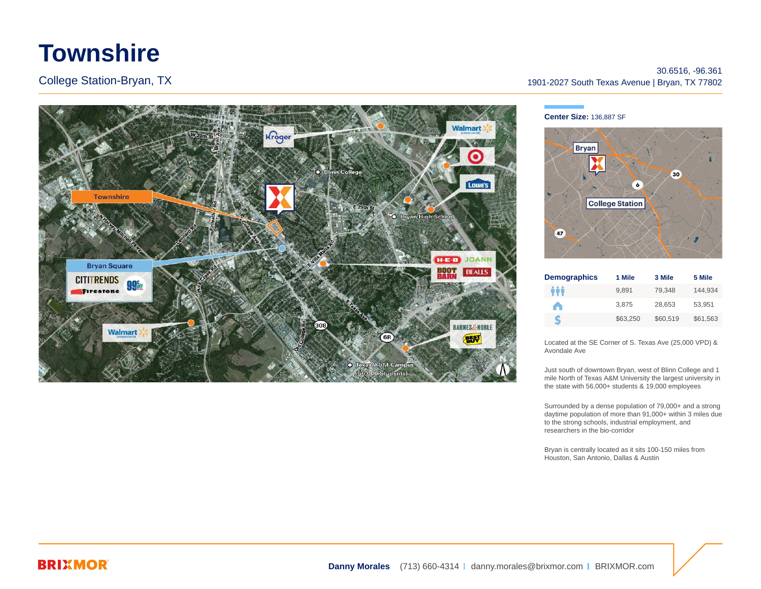# **Townshire**

College Station-Bryan, TX



## 30.6516, -96.361 1901-2027 South Texas Avenue | Bryan, TX 77802

**Center Size:** 136,887 SF



| <b>Demographics</b> | 1 Mile   | 3 Mile   | 5 Mile   |
|---------------------|----------|----------|----------|
| ŶŶŶ                 | 9.891    | 79.348   | 144.934  |
| A                   | 3.875    | 28.653   | 53.951   |
| S                   | \$63.250 | \$60.519 | \$61,563 |

Located at the SE Corner of S. Texas Ave (25,000 VPD) & Avondale Ave

Just south of downtown Bryan, west of Blinn College and 1 mile North of Texas A&M University the largest university in the state with 56,000+ students & 19,000 employees

Surrounded by a dense population of 79,000+ and a strong daytime population of more than 91,000+ within 3 miles due to the strong schools, industrial employment, and researchers in the bio-corridor

Bryan is centrally located as it sits 100-150 miles from Houston, San Antonio, Dallas & Austin

## **BRIXMOR**